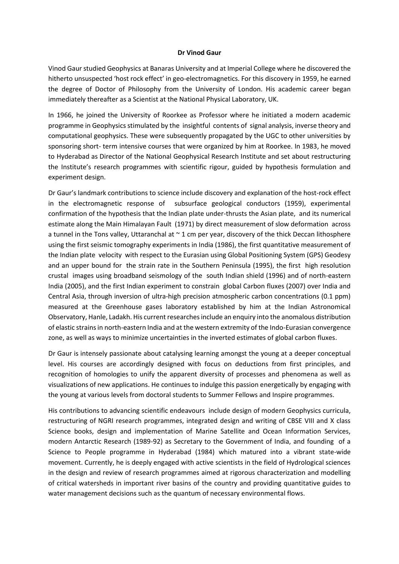## **Dr Vinod Gaur**

Vinod Gaur studied Geophysics at Banaras University and at Imperial College where he discovered the hitherto unsuspected 'host rock effect' in geo-electromagnetics. For this discovery in 1959, he earned the degree of Doctor of Philosophy from the University of London. His academic career began immediately thereafter as a Scientist at the National Physical Laboratory, UK.

In 1966, he joined the University of Roorkee as Professor where he initiated a modern academic programme in Geophysics stimulated by the insightful contents of signal analysis, inverse theory and computational geophysics. These were subsequently propagated by the UGC to other universities by sponsoring short- term intensive courses that were organized by him at Roorkee. In 1983, he moved to Hyderabad as Director of the National Geophysical Research Institute and set about restructuring the Institute's research programmes with scientific rigour, guided by hypothesis formulation and experiment design.

Dr Gaur's landmark contributions to science include discovery and explanation of the host-rock effect in the electromagnetic response of subsurface geological conductors (1959), experimental confirmation of the hypothesis that the Indian plate under-thrusts the Asian plate, and its numerical estimate along the Main Himalayan Fault (1971) by direct measurement of slow deformation across a tunnel in the Tons valley, Uttaranchal at  $\sim$  1 cm per year, discovery of the thick Deccan lithosphere using the first seismic tomography experiments in India (1986), the first quantitative measurement of the Indian plate velocity with respect to the Eurasian using Global Positioning System (GPS) Geodesy and an upper bound for the strain rate in the Southern Peninsula (1995), the first high resolution crustal images using broadband seismology of the south Indian shield (1996) and of north-eastern India (2005), and the first Indian experiment to constrain global Carbon fluxes (2007) over India and Central Asia, through inversion of ultra-high precision atmospheric carbon concentrations (0.1 ppm) measured at the Greenhouse gases laboratory established by him at the Indian Astronomical Observatory, Hanle, Ladakh. His current researches include an enquiry into the anomalous distribution of elastic strains in north-eastern India and at the western extremity of the Indo-Eurasian convergence zone, as well as ways to minimize uncertainties in the inverted estimates of global carbon fluxes.

Dr Gaur is intensely passionate about catalysing learning amongst the young at a deeper conceptual level. His courses are accordingly designed with focus on deductions from first principles, and recognition of homologies to unify the apparent diversity of processes and phenomena as well as visualizations of new applications. He continues to indulge this passion energetically by engaging with the young at various levels from doctoral students to Summer Fellows and Inspire programmes.

His contributions to advancing scientific endeavours include design of modern Geophysics curricula, restructuring of NGRI research programmes, integrated design and writing of CBSE VIII and X class Science books, design and implementation of Marine Satellite and Ocean Information Services, modern Antarctic Research (1989-92) as Secretary to the Government of India, and founding of a Science to People programme in Hyderabad (1984) which matured into a vibrant state-wide movement. Currently, he is deeply engaged with active scientists in the field of Hydrological sciences in the design and review of research programmes aimed at rigorous characterization and modelling of critical watersheds in important river basins of the country and providing quantitative guides to water management decisions such as the quantum of necessary environmental flows.